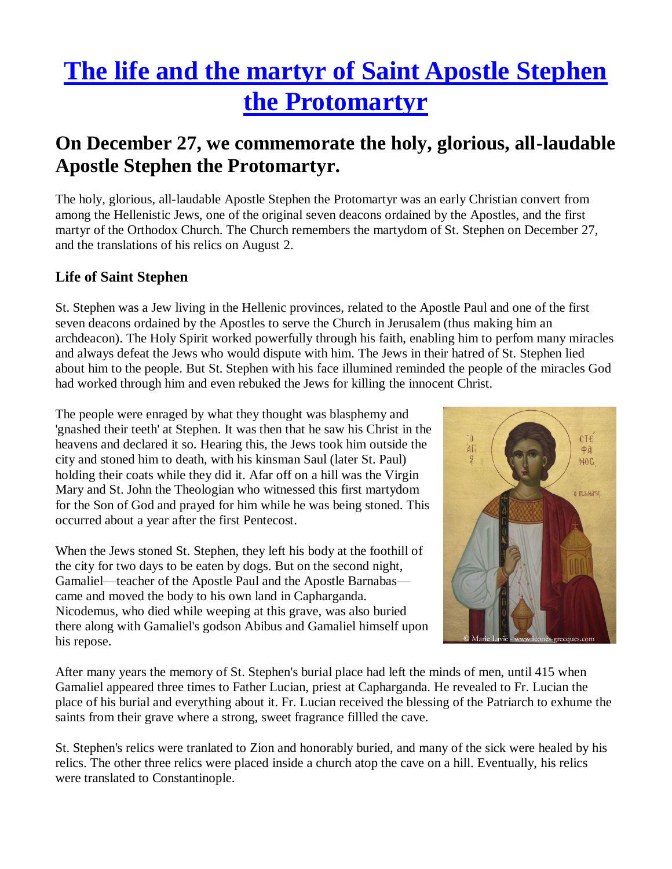# **[The life and the martyr of Saint Apostle Stephen](http://www.greek-icons.org/texts-papers/synaxaries-saints-lives/life-martyr-saint-stephen.htm)  [the Protomartyr](http://www.greek-icons.org/texts-papers/synaxaries-saints-lives/life-martyr-saint-stephen.htm)**

# **On December 27, we commemorate the holy, glorious, all-laudable Apostle Stephen the Protomartyr.**

The holy, glorious, all-laudable Apostle Stephen the Protomartyr was an early Christian convert from among the Hellenistic Jews, one of the original seven deacons ordained by the Apostles, and the first martyr of the Orthodox Church. The Church remembers the martydom of St. Stephen on December 27, and the translations of his relics on August 2.

## **Life of Saint Stephen**

St. Stephen was a Jew living in the Hellenic provinces, related to the Apostle Paul and one of the first seven deacons ordained by the Apostles to serve the Church in Jerusalem (thus making him an archdeacon). The Holy Spirit worked powerfully through his faith, enabling him to perfom many miracles and always defeat the Jews who would dispute with him. The Jews in their hatred of St. Stephen lied about him to the people. But St. Stephen with his face illumined reminded the people of the miracles God had worked through him and even rebuked the Jews for killing the innocent Christ.

The people were enraged by what they thought was blasphemy and 'gnashed their teeth' at Stephen. It was then that he saw his Christ in the heavens and declared it so. Hearing this, the Jews took him outside the city and stoned him to death, with his kinsman Saul (later St. Paul) holding their coats while they did it. Afar off on a hill was the Virgin Mary and St. John the Theologian who witnessed this first martydom for the Son of God and prayed for him while he was being stoned. This occurred about a year after the first Pentecost.

When the Jews stoned St. Stephen, they left his body at the foothill of the city for two days to be eaten by dogs. But on the second night, Gamaliel—teacher of the Apostle Paul and the Apostle Barnabas came and moved the body to his own land in Capharganda. Nicodemus, who died while weeping at this grave, was also buried there along with Gamaliel's godson Abibus and Gamaliel himself upon his repose.



After many years the memory of St. Stephen's burial place had left the minds of men, until 415 when Gamaliel appeared three times to Father Lucian, priest at Capharganda. He revealed to Fr. Lucian the place of his burial and everything about it. Fr. Lucian received the blessing of the Patriarch to exhume the saints from their grave where a strong, sweet fragrance fillled the cave.

St. Stephen's relics were tranlated to Zion and honorably buried, and many of the sick were healed by his relics. The other three relics were placed inside a church atop the cave on a hill. Eventually, his relics were translated to Constantinople.